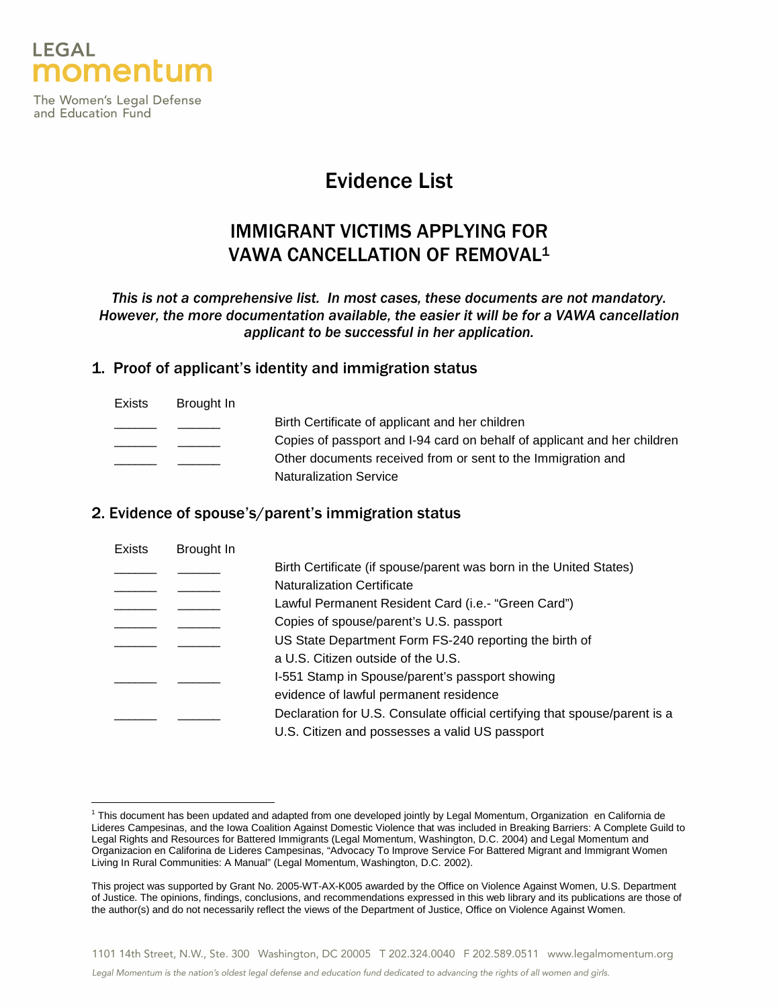

The Women's Legal Defense and Education Fund

 $\overline{a}$ 

# Evidence List

# IMMIGRANT VICTIMS APPLYING FOR VAWA CANCELLATION OF REMOVAL<sup>1</sup>

This is not a comprehensive list. In most cases, these documents are not mandatory. However, the more documentation available, the easier it will be for a VAWA cancellation applicant to be successful in her application.

### 1. Proof of applicant's identity and immigration status

| <b>Exists</b> | Brought In |                                                                          |
|---------------|------------|--------------------------------------------------------------------------|
|               |            | Birth Certificate of applicant and her children                          |
|               |            | Copies of passport and I-94 card on behalf of applicant and her children |
|               |            | Other documents received from or sent to the Immigration and             |
|               |            | <b>Naturalization Service</b>                                            |

### 2. Evidence of spouse's/parent's immigration status

| Exists | Brought In |                                                                            |
|--------|------------|----------------------------------------------------------------------------|
|        |            | Birth Certificate (if spouse/parent was born in the United States)         |
|        |            | <b>Naturalization Certificate</b>                                          |
|        |            | Lawful Permanent Resident Card (i.e.- "Green Card")                        |
|        |            | Copies of spouse/parent's U.S. passport                                    |
|        |            | US State Department Form FS-240 reporting the birth of                     |
|        |            | a U.S. Citizen outside of the U.S.                                         |
|        |            | I-551 Stamp in Spouse/parent's passport showing                            |
|        |            | evidence of lawful permanent residence                                     |
|        |            | Declaration for U.S. Consulate official certifying that spouse/parent is a |
|        |            | U.S. Citizen and possesses a valid US passport                             |
|        |            |                                                                            |

<sup>&</sup>lt;sup>1</sup> This document has been updated and adapted from one developed jointly by Legal Momentum, Organization en California de Lideres Campesinas, and the Iowa Coalition Against Domestic Violence that was included in Breaking Barriers: A Complete Guild to Legal Rights and Resources for Battered Immigrants (Legal Momentum, Washington, D.C. 2004) and Legal Momentum and Organizacion en Califorina de Lideres Campesinas, "Advocacy To Improve Service For Battered Migrant and Immigrant Women Living In Rural Communities: A Manual" (Legal Momentum, Washington, D.C. 2002).

This project was supported by Grant No. 2005-WT-AX-K005 awarded by the Office on Violence Against Women, U.S. Department of Justice. The opinions, findings, conclusions, and recommendations expressed in this web library and its publications are those of the author(s) and do not necessarily reflect the views of the Department of Justice, Office on Violence Against Women.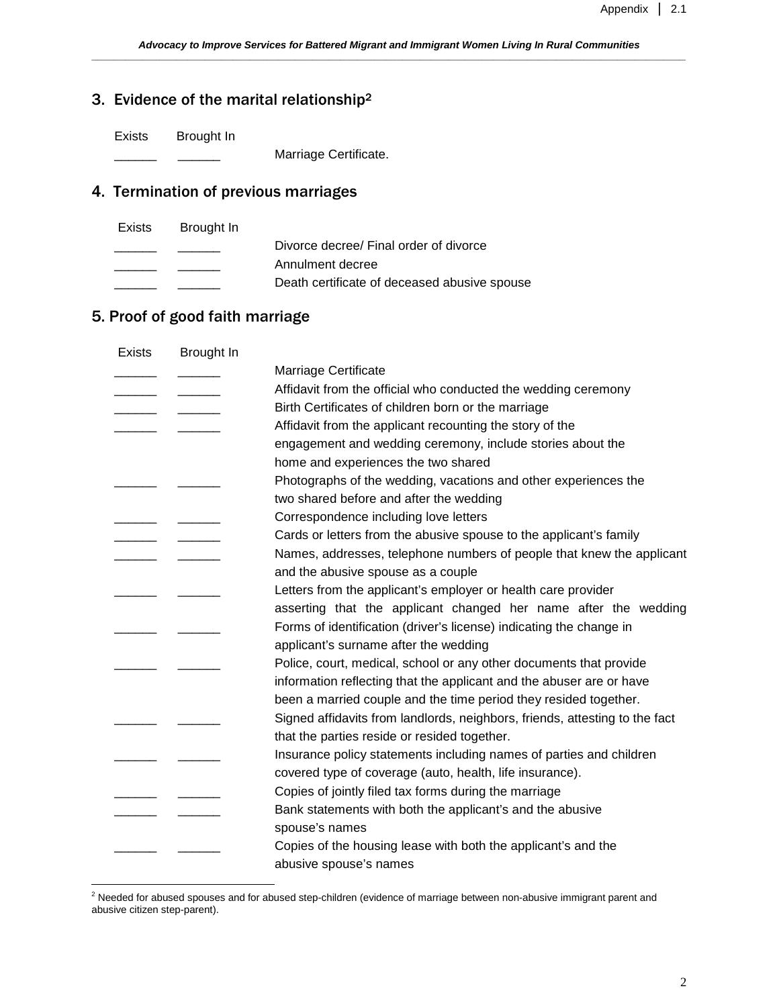## 3. Evidence of the marital relationship<sup>2</sup>

Exists Brought In

Marriage Certificate.

# 4. Termination of previous marriages

| Exists | Brought In |                                              |
|--------|------------|----------------------------------------------|
|        |            | Divorce decree/ Final order of divorce       |
|        |            | Annulment decree                             |
|        |            | Death certificate of deceased abusive spouse |
|        |            |                                              |

## 5. Proof of good faith marriage

| <b>Exists</b> | Brought In |                                                                             |
|---------------|------------|-----------------------------------------------------------------------------|
|               |            | Marriage Certificate                                                        |
|               |            | Affidavit from the official who conducted the wedding ceremony              |
|               |            | Birth Certificates of children born or the marriage                         |
|               |            | Affidavit from the applicant recounting the story of the                    |
|               |            | engagement and wedding ceremony, include stories about the                  |
|               |            | home and experiences the two shared                                         |
|               |            | Photographs of the wedding, vacations and other experiences the             |
|               |            | two shared before and after the wedding                                     |
|               |            | Correspondence including love letters                                       |
|               |            | Cards or letters from the abusive spouse to the applicant's family          |
|               |            | Names, addresses, telephone numbers of people that knew the applicant       |
|               |            | and the abusive spouse as a couple                                          |
|               |            | Letters from the applicant's employer or health care provider               |
|               |            | asserting that the applicant changed her name after the wedding             |
|               |            | Forms of identification (driver's license) indicating the change in         |
|               |            | applicant's surname after the wedding                                       |
|               |            | Police, court, medical, school or any other documents that provide          |
|               |            | information reflecting that the applicant and the abuser are or have        |
|               |            | been a married couple and the time period they resided together.            |
|               |            | Signed affidavits from landlords, neighbors, friends, attesting to the fact |
|               |            | that the parties reside or resided together.                                |
|               |            | Insurance policy statements including names of parties and children         |
|               |            | covered type of coverage (auto, health, life insurance).                    |
|               |            | Copies of jointly filed tax forms during the marriage                       |
|               |            | Bank statements with both the applicant's and the abusive                   |
|               |            | spouse's names                                                              |
|               |            | Copies of the housing lease with both the applicant's and the               |
|               |            | abusive spouse's names                                                      |
|               |            |                                                                             |

 2 Needed for abused spouses and for abused step-children (evidence of marriage between non-abusive immigrant parent and abusive citizen step-parent).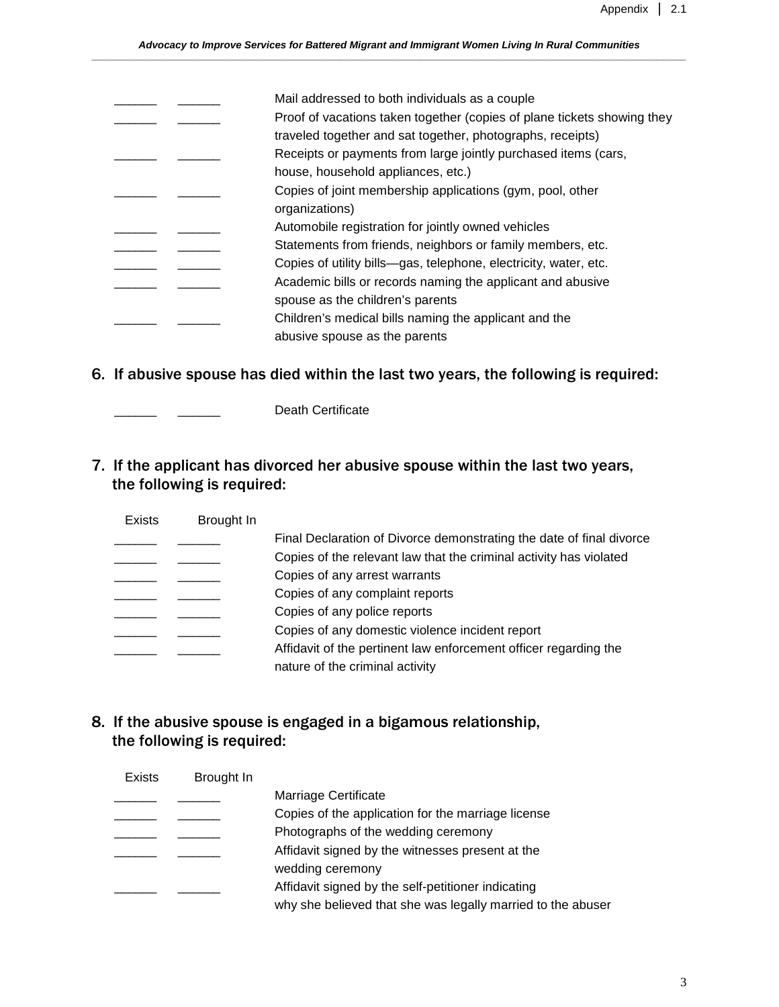|  | Mail addressed to both individuals as a couple                          |
|--|-------------------------------------------------------------------------|
|  | Proof of vacations taken together (copies of plane tickets showing they |
|  | traveled together and sat together, photographs, receipts)              |
|  | Receipts or payments from large jointly purchased items (cars,          |
|  | house, household appliances, etc.)                                      |
|  | Copies of joint membership applications (gym, pool, other               |
|  | organizations)                                                          |
|  | Automobile registration for jointly owned vehicles                      |
|  | Statements from friends, neighbors or family members, etc.              |
|  | Copies of utility bills—gas, telephone, electricity, water, etc.        |
|  | Academic bills or records naming the applicant and abusive              |
|  | spouse as the children's parents                                        |
|  | Children's medical bills naming the applicant and the                   |
|  | abusive spouse as the parents                                           |
|  |                                                                         |

6. If abusive spouse has died within the last two years, the following is required:

\_\_\_\_\_\_ \_\_\_\_\_\_ Death Certificate

7. If the applicant has divorced her abusive spouse within the last two years, the following is required:

| <b>Exists</b> | Brought In |                                                                      |
|---------------|------------|----------------------------------------------------------------------|
|               |            | Final Declaration of Divorce demonstrating the date of final divorce |
|               |            | Copies of the relevant law that the criminal activity has violated   |
|               |            | Copies of any arrest warrants                                        |
|               |            | Copies of any complaint reports                                      |
|               |            | Copies of any police reports                                         |
|               |            | Copies of any domestic violence incident report                      |
|               |            | Affidavit of the pertinent law enforcement officer regarding the     |
|               |            | nature of the criminal activity                                      |

8. If the abusive spouse is engaged in a bigamous relationship, the following is required:

| <b>Exists</b> | Brought In |                                                             |
|---------------|------------|-------------------------------------------------------------|
|               |            | Marriage Certificate                                        |
|               |            | Copies of the application for the marriage license          |
|               |            | Photographs of the wedding ceremony                         |
|               |            | Affidavit signed by the witnesses present at the            |
|               |            | wedding ceremony                                            |
|               |            | Affidavit signed by the self-petitioner indicating          |
|               |            | why she believed that she was legally married to the abuser |
|               |            |                                                             |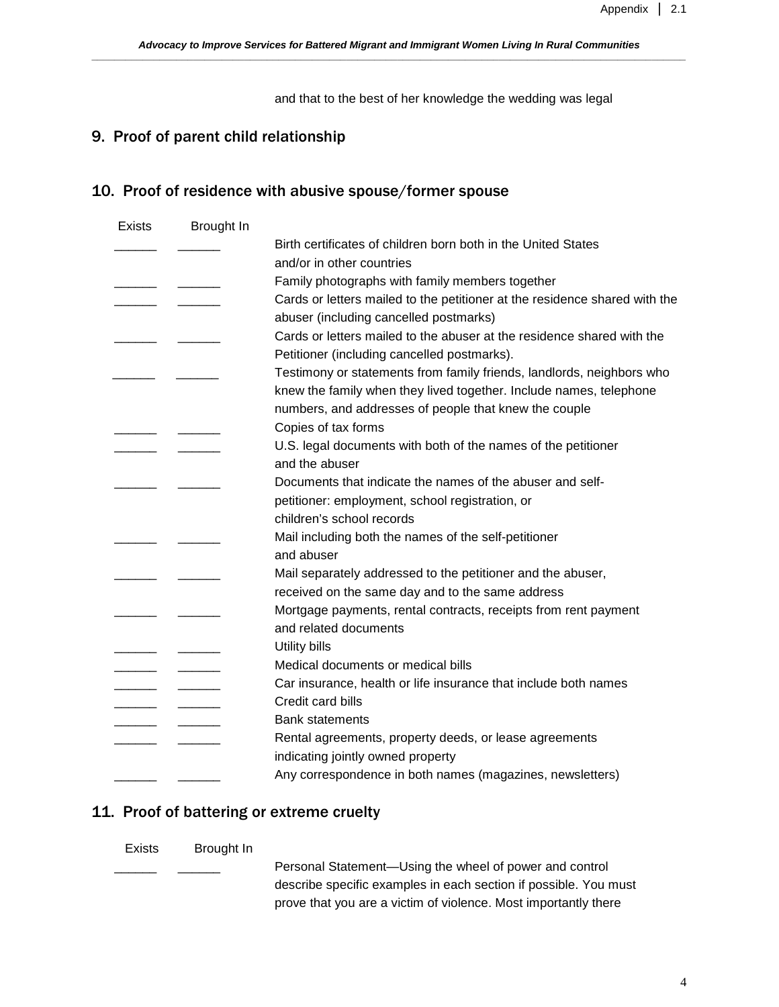and that to the best of her knowledge the wedding was legal

## 9. Proof of parent child relationship

## 10. Proof of residence with abusive spouse/former spouse

| <b>Exists</b> | Brought In |                                                                            |
|---------------|------------|----------------------------------------------------------------------------|
|               |            | Birth certificates of children born both in the United States              |
|               |            | and/or in other countries                                                  |
|               |            | Family photographs with family members together                            |
|               |            | Cards or letters mailed to the petitioner at the residence shared with the |
|               |            | abuser (including cancelled postmarks)                                     |
|               |            | Cards or letters mailed to the abuser at the residence shared with the     |
|               |            | Petitioner (including cancelled postmarks).                                |
|               |            | Testimony or statements from family friends, landlords, neighbors who      |
|               |            | knew the family when they lived together. Include names, telephone         |
|               |            | numbers, and addresses of people that knew the couple                      |
|               |            | Copies of tax forms                                                        |
|               |            | U.S. legal documents with both of the names of the petitioner              |
|               |            | and the abuser                                                             |
|               |            | Documents that indicate the names of the abuser and self-                  |
|               |            | petitioner: employment, school registration, or                            |
|               |            | children's school records                                                  |
|               |            | Mail including both the names of the self-petitioner                       |
|               |            | and abuser                                                                 |
|               |            | Mail separately addressed to the petitioner and the abuser,                |
|               |            | received on the same day and to the same address                           |
|               |            | Mortgage payments, rental contracts, receipts from rent payment            |
|               |            | and related documents                                                      |
|               |            | Utility bills                                                              |
|               |            | Medical documents or medical bills                                         |
|               |            | Car insurance, health or life insurance that include both names            |
|               |            | Credit card bills                                                          |
|               |            | <b>Bank statements</b>                                                     |
|               |            | Rental agreements, property deeds, or lease agreements                     |
|               |            | indicating jointly owned property                                          |
|               |            | Any correspondence in both names (magazines, newsletters)                  |

### 11. Proof of battering or extreme cruelty

#### Exists Brought In

Personal Statement-Using the wheel of power and control describe specific examples in each section if possible. You must prove that you are a victim of violence. Most importantly there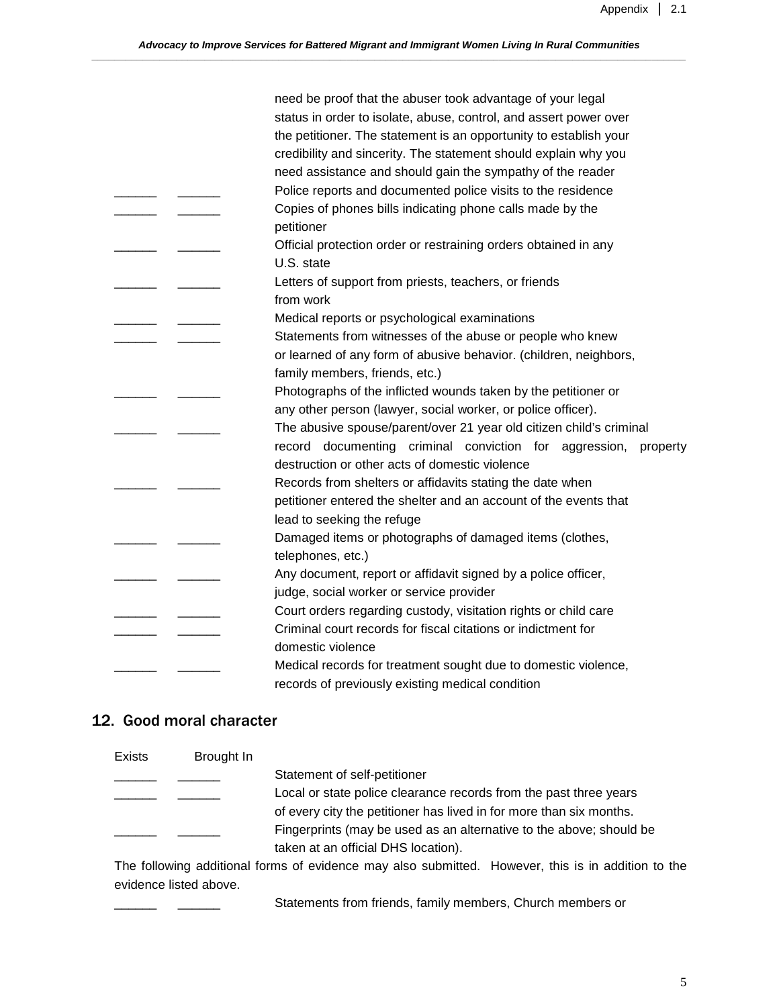|  | need be proof that the abuser took advantage of your legal<br>status in order to isolate, abuse, control, and assert power over |
|--|---------------------------------------------------------------------------------------------------------------------------------|
|  | the petitioner. The statement is an opportunity to establish your                                                               |
|  | credibility and sincerity. The statement should explain why you                                                                 |
|  | need assistance and should gain the sympathy of the reader                                                                      |
|  | Police reports and documented police visits to the residence                                                                    |
|  | Copies of phones bills indicating phone calls made by the                                                                       |
|  | petitioner                                                                                                                      |
|  | Official protection order or restraining orders obtained in any                                                                 |
|  | U.S. state                                                                                                                      |
|  | Letters of support from priests, teachers, or friends                                                                           |
|  | from work                                                                                                                       |
|  | Medical reports or psychological examinations                                                                                   |
|  | Statements from witnesses of the abuse or people who knew                                                                       |
|  | or learned of any form of abusive behavior. (children, neighbors,                                                               |
|  | family members, friends, etc.)                                                                                                  |
|  | Photographs of the inflicted wounds taken by the petitioner or                                                                  |
|  | any other person (lawyer, social worker, or police officer).                                                                    |
|  | The abusive spouse/parent/over 21 year old citizen child's criminal                                                             |
|  | documenting criminal conviction for aggression,<br>record<br>property                                                           |
|  | destruction or other acts of domestic violence                                                                                  |
|  | Records from shelters or affidavits stating the date when                                                                       |
|  | petitioner entered the shelter and an account of the events that                                                                |
|  | lead to seeking the refuge                                                                                                      |
|  | Damaged items or photographs of damaged items (clothes,                                                                         |
|  | telephones, etc.)                                                                                                               |
|  | Any document, report or affidavit signed by a police officer,                                                                   |
|  | judge, social worker or service provider                                                                                        |
|  | Court orders regarding custody, visitation rights or child care                                                                 |
|  | Criminal court records for fiscal citations or indictment for                                                                   |
|  | domestic violence                                                                                                               |
|  | Medical records for treatment sought due to domestic violence,                                                                  |
|  | records of previously existing medical condition                                                                                |

### 12. Good moral character

| <b>Exists</b> | Brought In |                                                                     |
|---------------|------------|---------------------------------------------------------------------|
|               |            | Statement of self-petitioner                                        |
|               |            | Local or state police clearance records from the past three years   |
|               |            | of every city the petitioner has lived in for more than six months. |
|               |            | Fingerprints (may be used as an alternative to the above; should be |
|               |            | taken at an official DHS location).                                 |

The following additional forms of evidence may also submitted. However, this is in addition to the evidence listed above.

Statements from friends, family members, Church members or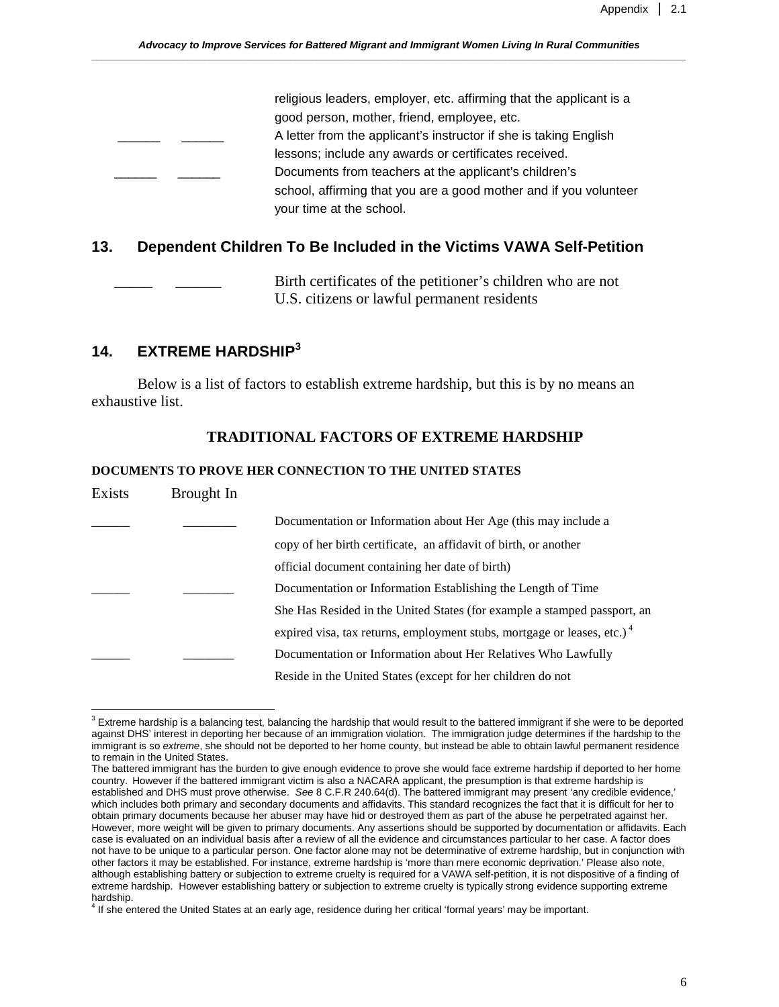| religious leaders, employer, etc. affirming that the applicant is a |
|---------------------------------------------------------------------|
| good person, mother, friend, employee, etc.                         |
| A letter from the applicant's instructor if she is taking English   |
| lessons; include any awards or certificates received.               |
| Documents from teachers at the applicant's children's               |
| school, affirming that you are a good mother and if you volunteer   |
| your time at the school.                                            |

### **13. Dependent Children To Be Included in the Victims VAWA Self-Petition**

Birth certificates of the petitioner's children who are not U.S. citizens or lawful permanent residents

### **14. EXTREME HARDSHIP<sup>3</sup>**

<u>.</u>

Below is a list of factors to establish extreme hardship, but this is by no means an exhaustive list.

### **TRADITIONAL FACTORS OF EXTREME HARDSHIP**

#### **DOCUMENTS TO PROVE HER CONNECTION TO THE UNITED STATES**

| Exists | Brought In |                                                                                     |
|--------|------------|-------------------------------------------------------------------------------------|
|        |            | Documentation or Information about Her Age (this may include a                      |
|        |            | copy of her birth certificate, an affidavit of birth, or another                    |
|        |            | official document containing her date of birth)                                     |
|        |            | Documentation or Information Establishing the Length of Time                        |
|        |            | She Has Resided in the United States (for example a stamped passport, an            |
|        |            | expired visa, tax returns, employment stubs, mortgage or leases, etc.) <sup>4</sup> |
|        |            | Documentation or Information about Her Relatives Who Lawfully                       |
|        |            | Reside in the United States (except for her children do not                         |

 $3$  Extreme hardship is a balancing test, balancing the hardship that would result to the battered immigrant if she were to be deported against DHS' interest in deporting her because of an immigration violation. The immigration judge determines if the hardship to the immigrant is so extreme, she should not be deported to her home county, but instead be able to obtain lawful permanent residence to remain in the United States.

The battered immigrant has the burden to give enough evidence to prove she would face extreme hardship if deported to her home country. However if the battered immigrant victim is also a NACARA applicant, the presumption is that extreme hardship is established and DHS must prove otherwise. See 8 C.F.R 240.64(d). The battered immigrant may present 'any credible evidence,' which includes both primary and secondary documents and affidavits. This standard recognizes the fact that it is difficult for her to obtain primary documents because her abuser may have hid or destroyed them as part of the abuse he perpetrated against her. However, more weight will be given to primary documents. Any assertions should be supported by documentation or affidavits. Each case is evaluated on an individual basis after a review of all the evidence and circumstances particular to her case. A factor does not have to be unique to a particular person. One factor alone may not be determinative of extreme hardship, but in conjunction with other factors it may be established. For instance, extreme hardship is 'more than mere economic deprivation.' Please also note, although establishing battery or subjection to extreme cruelty is required for a VAWA self-petition, it is not dispositive of a finding of extreme hardship. However establishing battery or subjection to extreme cruelty is typically strong evidence supporting extreme hardship.

<sup>4</sup> If she entered the United States at an early age, residence during her critical 'formal years' may be important.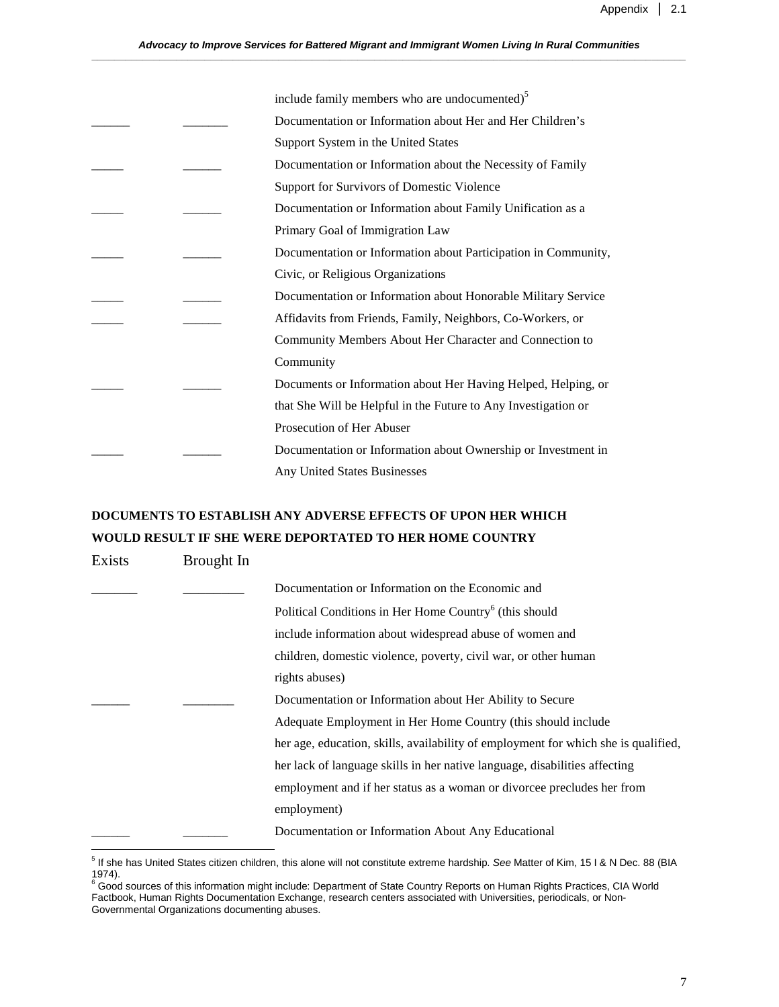|  | include family members who are undocumented) <sup>5</sup>      |
|--|----------------------------------------------------------------|
|  | Documentation or Information about Her and Her Children's      |
|  | Support System in the United States                            |
|  | Documentation or Information about the Necessity of Family     |
|  | Support for Survivors of Domestic Violence                     |
|  | Documentation or Information about Family Unification as a     |
|  | Primary Goal of Immigration Law                                |
|  | Documentation or Information about Participation in Community, |
|  | Civic, or Religious Organizations                              |
|  | Documentation or Information about Honorable Military Service  |
|  | Affidavits from Friends, Family, Neighbors, Co-Workers, or     |
|  | Community Members About Her Character and Connection to        |
|  | Community                                                      |
|  | Documents or Information about Her Having Helped, Helping, or  |
|  | that She Will be Helpful in the Future to Any Investigation or |
|  | Prosecution of Her Abuser                                      |
|  | Documentation or Information about Ownership or Investment in  |
|  | <b>Any United States Businesses</b>                            |

## **DOCUMENTS TO ESTABLISH ANY ADVERSE EFFECTS OF UPON HER WHICH WOULD RESULT IF SHE WERE DEPORTATED TO HER HOME COUNTRY**

| Exists | Brought In |                                                                                    |
|--------|------------|------------------------------------------------------------------------------------|
|        |            | Documentation or Information on the Economic and                                   |
|        |            | Political Conditions in Her Home Country <sup>6</sup> (this should                 |
|        |            | include information about widespread abuse of women and                            |
|        |            | children, domestic violence, poverty, civil war, or other human                    |
|        |            | rights abuses)                                                                     |
|        |            | Documentation or Information about Her Ability to Secure                           |
|        |            | Adequate Employment in Her Home Country (this should include                       |
|        |            | her age, education, skills, availability of employment for which she is qualified, |
|        |            | her lack of language skills in her native language, disabilities affecting         |
|        |            | employment and if her status as a woman or divorcee precludes her from             |
|        |            | employment)                                                                        |
|        |            | Documentation or Information About Any Educational                                 |

 5 If she has United States citizen children, this alone will not constitute extreme hardship. See Matter of Kim, 15 I & N Dec. 88 (BIA

<sup>1974).&</sup>lt;br><sup>6</sup> Good sources of this information might include: Department of State Country Reports on Human Rights Practices, CIA World Factbook, Human Rights Documentation Exchange, research centers associated with Universities, periodicals, or Non-Governmental Organizations documenting abuses.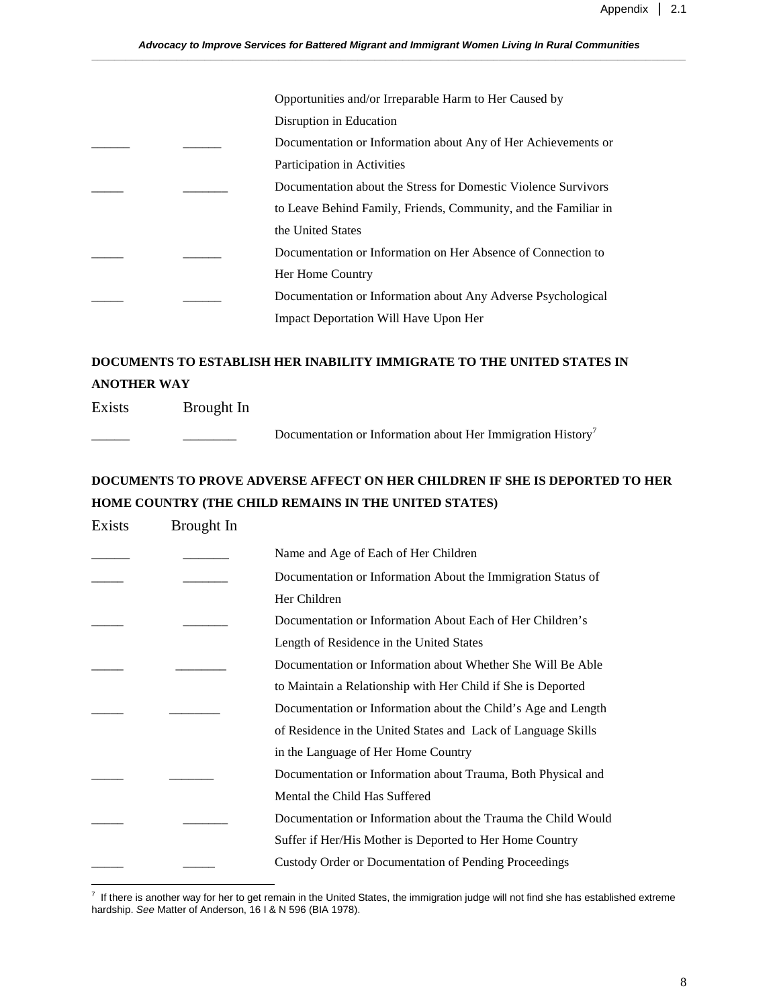|  | Opportunities and/or Irreparable Harm to Her Caused by          |
|--|-----------------------------------------------------------------|
|  | Disruption in Education                                         |
|  | Documentation or Information about Any of Her Achievements or   |
|  | Participation in Activities                                     |
|  | Documentation about the Stress for Domestic Violence Survivors  |
|  | to Leave Behind Family, Friends, Community, and the Familiar in |
|  | the United States                                               |
|  | Documentation or Information on Her Absence of Connection to    |
|  | Her Home Country                                                |
|  | Documentation or Information about Any Adverse Psychological    |
|  | <b>Impact Deportation Will Have Upon Her</b>                    |
|  |                                                                 |

### **DOCUMENTS TO ESTABLISH HER INABILITY IMMIGRATE TO THE UNITED STATES IN ANOTHER WAY**

Exists Brought In

Documentation or Information about Her Immigration History<sup>7</sup>

# **DOCUMENTS TO PROVE ADVERSE AFFECT ON HER CHILDREN IF SHE IS DEPORTED TO HER HOME COUNTRY (THE CHILD REMAINS IN THE UNITED STATES)**

| Exists | Brought In |                                                               |
|--------|------------|---------------------------------------------------------------|
|        |            | Name and Age of Each of Her Children                          |
|        |            | Documentation or Information About the Immigration Status of  |
|        |            | Her Children                                                  |
|        |            | Documentation or Information About Each of Her Children's     |
|        |            | Length of Residence in the United States                      |
|        |            | Documentation or Information about Whether She Will Be Able   |
|        |            | to Maintain a Relationship with Her Child if She is Deported  |
|        |            | Documentation or Information about the Child's Age and Length |
|        |            | of Residence in the United States and Lack of Language Skills |
|        |            | in the Language of Her Home Country                           |
|        |            | Documentation or Information about Trauma, Both Physical and  |
|        |            | Mental the Child Has Suffered                                 |
|        |            | Documentation or Information about the Trauma the Child Would |
|        |            | Suffer if Her/His Mother is Deported to Her Home Country      |
|        |            | Custody Order or Documentation of Pending Proceedings         |

 7 If there is another way for her to get remain in the United States, the immigration judge will not find she has established extreme hardship. See Matter of Anderson, 16 I & N 596 (BIA 1978).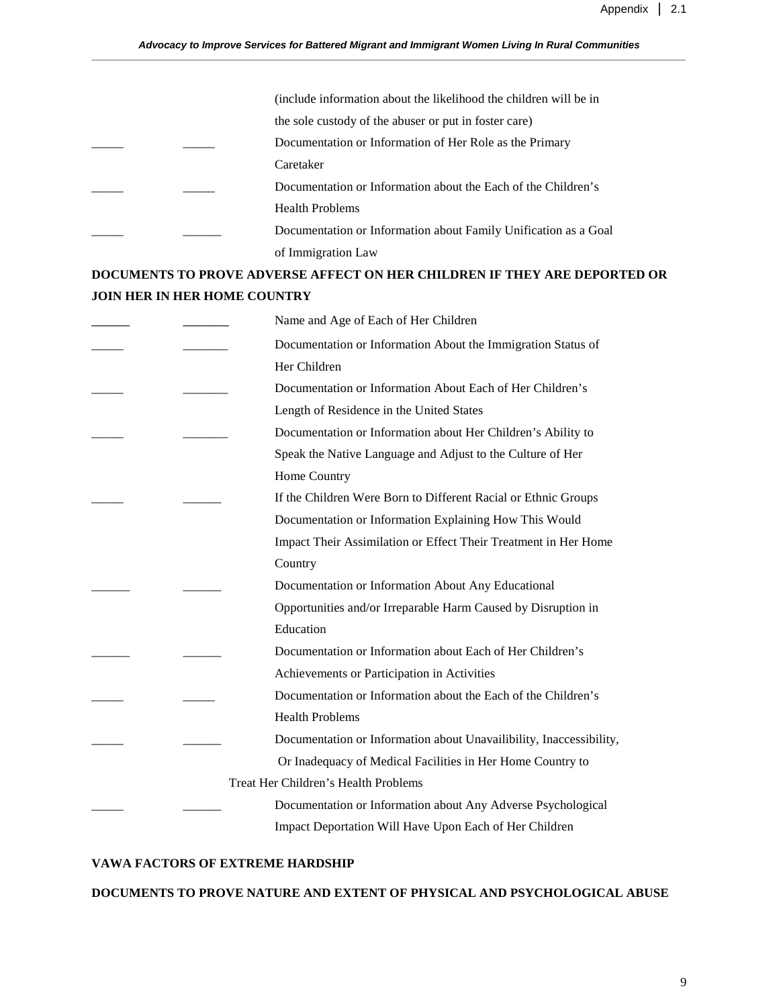|  | (include information about the likelihood the children will be in |
|--|-------------------------------------------------------------------|
|  | the sole custody of the abuser or put in foster care)             |
|  | Documentation or Information of Her Role as the Primary           |
|  | Caretaker                                                         |
|  | Documentation or Information about the Each of the Children's     |
|  | <b>Health Problems</b>                                            |
|  | Documentation or Information about Family Unification as a Goal   |
|  | of Immigration Law                                                |

## **DOCUMENTS TO PROVE ADVERSE AFFECT ON HER CHILDREN IF THEY ARE DEPORTED OR JOIN HER IN HER HOME COUNTRY**

|  | Name and Age of Each of Her Children                                |
|--|---------------------------------------------------------------------|
|  | Documentation or Information About the Immigration Status of        |
|  | Her Children                                                        |
|  | Documentation or Information About Each of Her Children's           |
|  | Length of Residence in the United States                            |
|  | Documentation or Information about Her Children's Ability to        |
|  | Speak the Native Language and Adjust to the Culture of Her          |
|  | Home Country                                                        |
|  | If the Children Were Born to Different Racial or Ethnic Groups      |
|  | Documentation or Information Explaining How This Would              |
|  | Impact Their Assimilation or Effect Their Treatment in Her Home     |
|  | Country                                                             |
|  | Documentation or Information About Any Educational                  |
|  | Opportunities and/or Irreparable Harm Caused by Disruption in       |
|  | Education                                                           |
|  | Documentation or Information about Each of Her Children's           |
|  | Achievements or Participation in Activities                         |
|  | Documentation or Information about the Each of the Children's       |
|  | <b>Health Problems</b>                                              |
|  | Documentation or Information about Unavailibility, Inaccessibility, |
|  | Or Inadequacy of Medical Facilities in Her Home Country to          |
|  | Treat Her Children's Health Problems                                |
|  | Documentation or Information about Any Adverse Psychological        |
|  | Impact Deportation Will Have Upon Each of Her Children              |
|  |                                                                     |

### **VAWA FACTORS OF EXTREME HARDSHIP**

#### **DOCUMENTS TO PROVE NATURE AND EXTENT OF PHYSICAL AND PSYCHOLOGICAL ABUSE**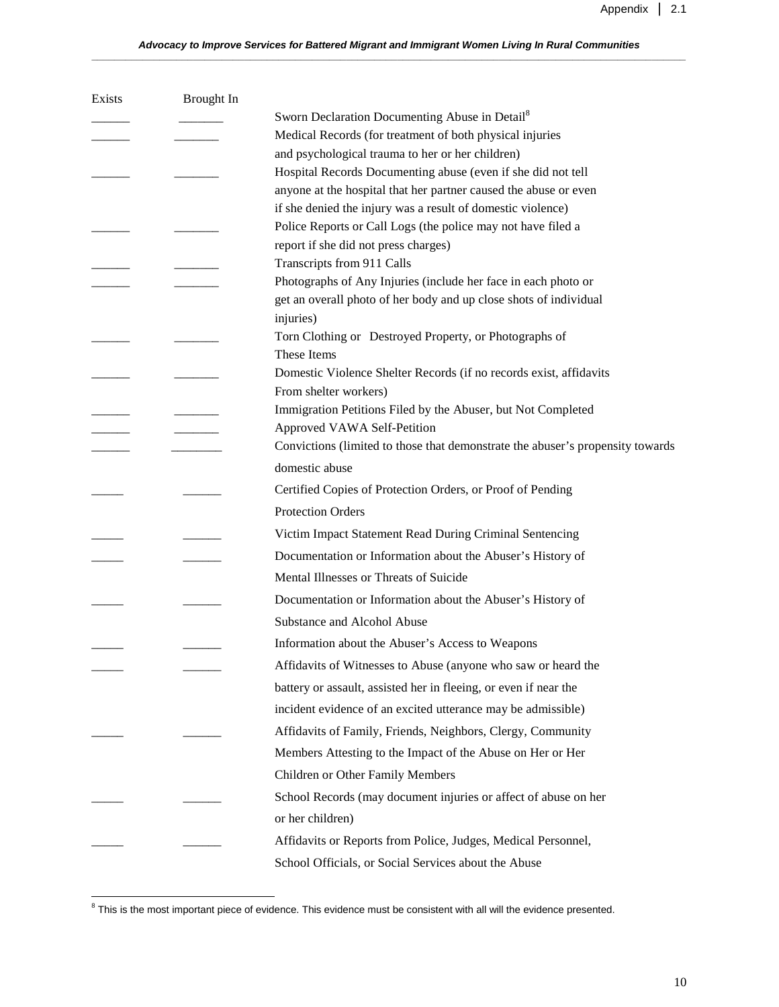| Exists | Brought In |                                                                                |
|--------|------------|--------------------------------------------------------------------------------|
|        |            | Sworn Declaration Documenting Abuse in Detail <sup>8</sup>                     |
|        |            | Medical Records (for treatment of both physical injuries                       |
|        |            | and psychological trauma to her or her children)                               |
|        |            | Hospital Records Documenting abuse (even if she did not tell                   |
|        |            | anyone at the hospital that her partner caused the abuse or even               |
|        |            | if she denied the injury was a result of domestic violence)                    |
|        |            | Police Reports or Call Logs (the police may not have filed a                   |
|        |            | report if she did not press charges)<br>Transcripts from 911 Calls             |
|        |            | Photographs of Any Injuries (include her face in each photo or                 |
|        |            | get an overall photo of her body and up close shots of individual              |
|        |            | injuries)                                                                      |
|        |            | Torn Clothing or Destroyed Property, or Photographs of                         |
|        |            | These Items                                                                    |
|        |            | Domestic Violence Shelter Records (if no records exist, affidavits             |
|        |            | From shelter workers)                                                          |
|        |            | Immigration Petitions Filed by the Abuser, but Not Completed                   |
|        |            | Approved VAWA Self-Petition                                                    |
|        |            | Convictions (limited to those that demonstrate the abuser's propensity towards |
|        |            | domestic abuse                                                                 |
|        |            | Certified Copies of Protection Orders, or Proof of Pending                     |
|        |            | <b>Protection Orders</b>                                                       |
|        |            | Victim Impact Statement Read During Criminal Sentencing                        |
|        |            | Documentation or Information about the Abuser's History of                     |
|        |            | Mental Illnesses or Threats of Suicide                                         |
|        |            | Documentation or Information about the Abuser's History of                     |
|        |            | Substance and Alcohol Abuse                                                    |
|        |            | Information about the Abuser's Access to Weapons                               |
|        |            | Affidavits of Witnesses to Abuse (anyone who saw or heard the                  |
|        |            | battery or assault, assisted her in fleeing, or even if near the               |
|        |            | incident evidence of an excited utterance may be admissible)                   |
|        |            | Affidavits of Family, Friends, Neighbors, Clergy, Community                    |
|        |            | Members Attesting to the Impact of the Abuse on Her or Her                     |
|        |            | Children or Other Family Members                                               |
|        |            | School Records (may document injuries or affect of abuse on her                |
|        |            | or her children)                                                               |
|        |            | Affidavits or Reports from Police, Judges, Medical Personnel,                  |
|        |            | School Officials, or Social Services about the Abuse                           |
|        |            |                                                                                |

 8 This is the most important piece of evidence. This evidence must be consistent with all will the evidence presented.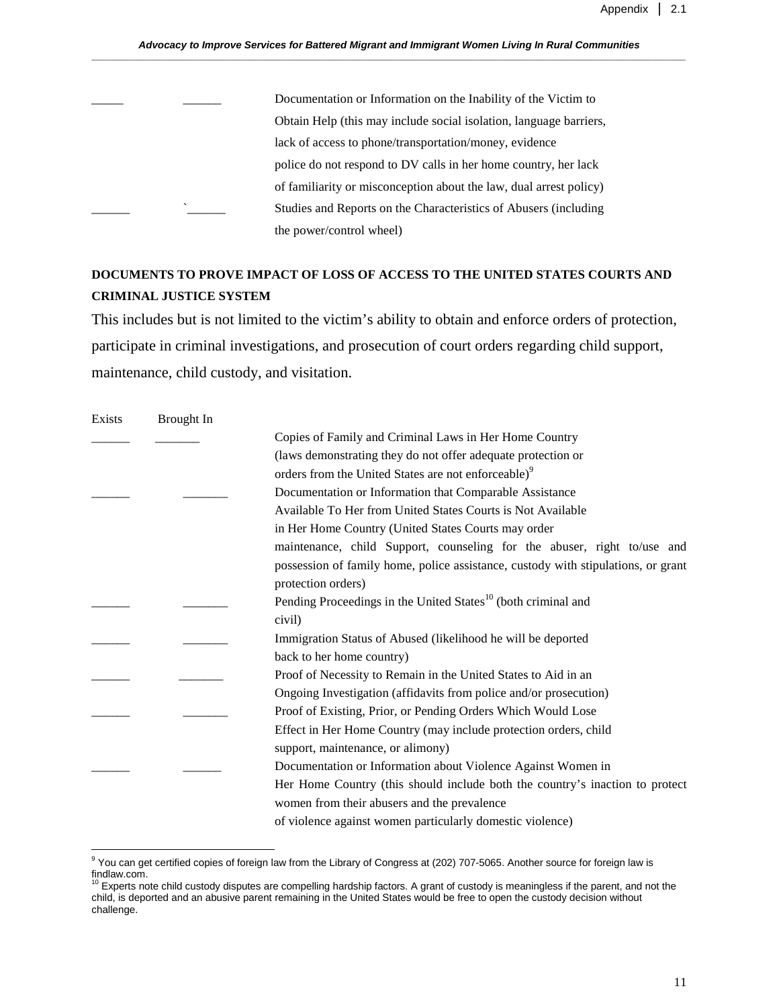Documentation or Information on the Inability of the Victim to Obtain Help (this may include social isolation, language barriers, lack of access to phone/transportation/money, evidence police do not respond to DV calls in her home country, her lack of familiarity or misconception about the law, dual arrest policy) Studies and Reports on the Characteristics of Abusers (including the power/control wheel)

## **DOCUMENTS TO PROVE IMPACT OF LOSS OF ACCESS TO THE UNITED STATES COURTS AND CRIMINAL JUSTICE SYSTEM**

This includes but is not limited to the victim's ability to obtain and enforce orders of protection, participate in criminal investigations, and prosecution of court orders regarding child support, maintenance, child custody, and visitation.

| Exists | Brought In |                                                                                   |
|--------|------------|-----------------------------------------------------------------------------------|
|        |            | Copies of Family and Criminal Laws in Her Home Country                            |
|        |            | (laws demonstrating they do not offer adequate protection or                      |
|        |            | orders from the United States are not enforceable) <sup>9</sup>                   |
|        |            | Documentation or Information that Comparable Assistance                           |
|        |            | Available To Her from United States Courts is Not Available                       |
|        |            | in Her Home Country (United States Courts may order                               |
|        |            | maintenance, child Support, counseling for the abuser, right to/use and           |
|        |            | possession of family home, police assistance, custody with stipulations, or grant |
|        |            | protection orders)                                                                |
|        |            | Pending Proceedings in the United States <sup>10</sup> (both criminal and         |
|        |            | civil)                                                                            |
|        |            | Immigration Status of Abused (likelihood he will be deported                      |
|        |            | back to her home country)                                                         |
|        |            | Proof of Necessity to Remain in the United States to Aid in an                    |
|        |            | Ongoing Investigation (affidavits from police and/or prosecution)                 |
|        |            | Proof of Existing, Prior, or Pending Orders Which Would Lose                      |
|        |            | Effect in Her Home Country (may include protection orders, child                  |
|        |            | support, maintenance, or alimony)                                                 |
|        |            | Documentation or Information about Violence Against Women in                      |
|        |            | Her Home Country (this should include both the country's inaction to protect      |
|        |            | women from their abusers and the prevalence                                       |
|        |            | of violence against women particularly domestic violence)                         |

 9 You can get certified copies of foreign law from the Library of Congress at (202) 707-5065. Another source for foreign law is findlaw.com.<br><sup>10</sup> Experts note child custody disputes are compelling hardship factors. A grant of custody is meaningless if the parent, and not the

child, is deported and an abusive parent remaining in the United States would be free to open the custody decision without challenge.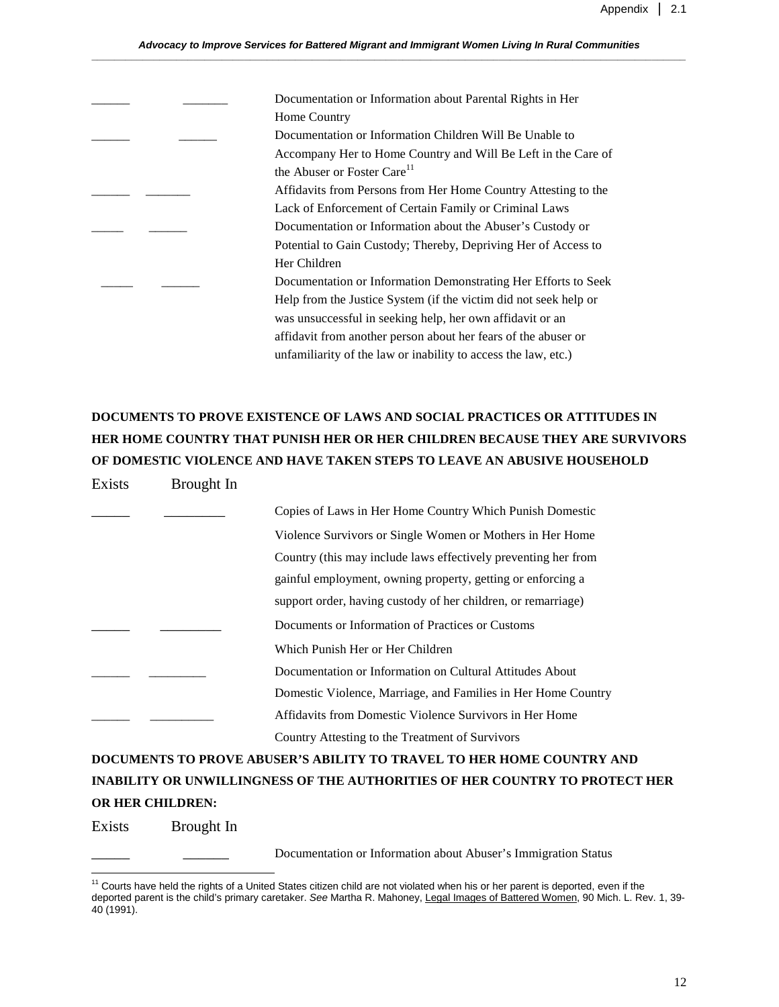| Documentation or Information about Parental Rights in Her        |
|------------------------------------------------------------------|
| Home Country                                                     |
| Documentation or Information Children Will Be Unable to          |
| Accompany Her to Home Country and Will Be Left in the Care of    |
| the Abuser or Foster Care <sup>11</sup>                          |
| Affidavits from Persons from Her Home Country Attesting to the   |
| Lack of Enforcement of Certain Family or Criminal Laws           |
| Documentation or Information about the Abuser's Custody or       |
| Potential to Gain Custody; Thereby, Depriving Her of Access to   |
| Her Children                                                     |
| Documentation or Information Demonstrating Her Efforts to Seek   |
| Help from the Justice System (if the victim did not seek help or |
| was unsuccessful in seeking help, her own affidavit or an        |
| affidavit from another person about her fears of the abuser or   |
| unfamiliarity of the law or inability to access the law, etc.)   |

# **DOCUMENTS TO PROVE EXISTENCE OF LAWS AND SOCIAL PRACTICES OR ATTITUDES IN HER HOME COUNTRY THAT PUNISH HER OR HER CHILDREN BECAUSE THEY ARE SURVIVORS OF DOMESTIC VIOLENCE AND HAVE TAKEN STEPS TO LEAVE AN ABUSIVE HOUSEHOLD**

| Copies of Laws in Her Home Country Which Punish Domestic       |
|----------------------------------------------------------------|
| Violence Survivors or Single Women or Mothers in Her Home      |
| Country (this may include laws effectively preventing her from |
| gainful employment, owning property, getting or enforcing a    |
| support order, having custody of her children, or remarriage)  |
| Documents or Information of Practices or Customs               |
| Which Punish Her or Her Children                               |
| Documentation or Information on Cultural Attitudes About       |
| Domestic Violence, Marriage, and Families in Her Home Country  |
| Affidavits from Domestic Violence Survivors in Her Home        |
| Country Attesting to the Treatment of Survivors                |

## **DOCUMENTS TO PROVE ABUSER'S ABILITY TO TRAVEL TO HER HOME COUNTRY AND INABILITY OR UNWILLINGNESS OF THE AUTHORITIES OF HER COUNTRY TO PROTECT HER OR HER CHILDREN:**

Exists Brought In

<u>.</u>

Exists Brought In

Documentation or Information about Abuser's Immigration Status

 $11$  Courts have held the rights of a United States citizen child are not violated when his or her parent is deported, even if the deported parent is the child's primary caretaker. See Martha R. Mahoney, Legal Images of Battered Women, 90 Mich. L. Rev. 1, 39- 40 (1991).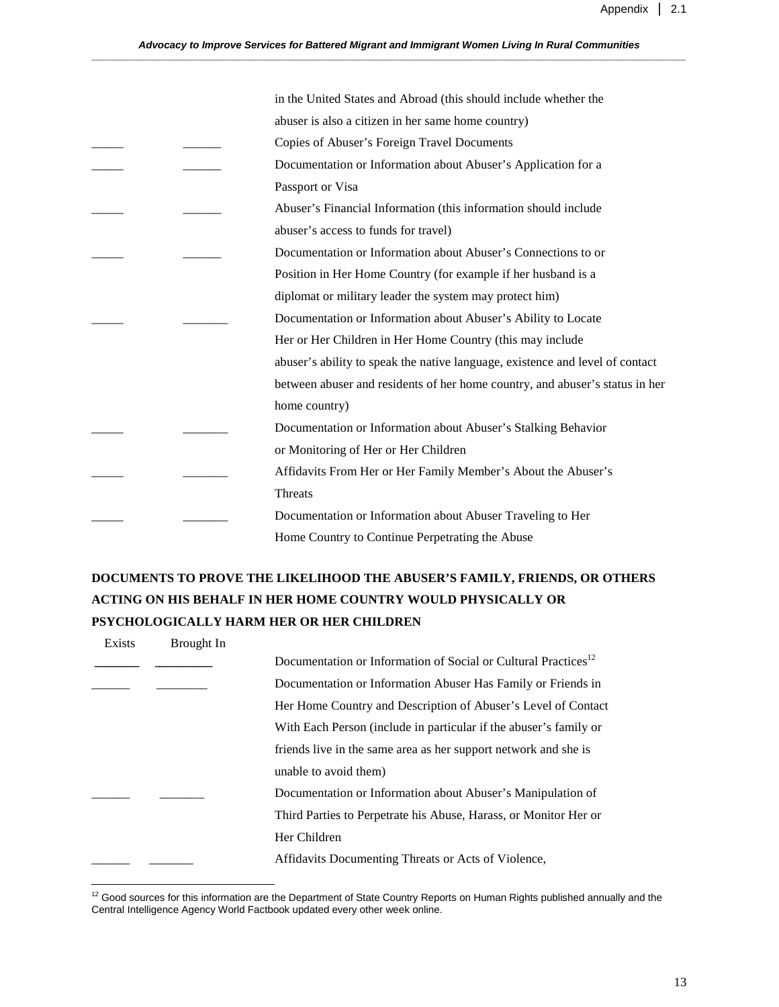|  | in the United States and Abroad (this should include whether the              |
|--|-------------------------------------------------------------------------------|
|  | abuser is also a citizen in her same home country)                            |
|  | Copies of Abuser's Foreign Travel Documents                                   |
|  | Documentation or Information about Abuser's Application for a                 |
|  | Passport or Visa                                                              |
|  | Abuser's Financial Information (this information should include               |
|  | abuser's access to funds for travel)                                          |
|  | Documentation or Information about Abuser's Connections to or                 |
|  | Position in Her Home Country (for example if her husband is a                 |
|  | diplomat or military leader the system may protect him)                       |
|  | Documentation or Information about Abuser's Ability to Locate                 |
|  | Her or Her Children in Her Home Country (this may include                     |
|  | abuser's ability to speak the native language, existence and level of contact |
|  | between abuser and residents of her home country, and abuser's status in her  |
|  | home country)                                                                 |
|  | Documentation or Information about Abuser's Stalking Behavior                 |
|  | or Monitoring of Her or Her Children                                          |
|  | Affidavits From Her or Her Family Member's About the Abuser's                 |
|  | Threats                                                                       |
|  | Documentation or Information about Abuser Traveling to Her                    |
|  | Home Country to Continue Perpetrating the Abuse                               |

## **DOCUMENTS TO PROVE THE LIKELIHOOD THE ABUSER'S FAMILY, FRIENDS, OR OTHERS ACTING ON HIS BEHALF IN HER HOME COUNTRY WOULD PHYSICALLY OR PSYCHOLOGICALLY HARM HER OR HER CHILDREN**

| Exists | <b>Brought</b> In |                                                                            |
|--------|-------------------|----------------------------------------------------------------------------|
|        |                   | Documentation or Information of Social or Cultural Practices <sup>12</sup> |
|        |                   | Documentation or Information Abuser Has Family or Friends in               |
|        |                   | Her Home Country and Description of Abuser's Level of Contact              |
|        |                   | With Each Person (include in particular if the abuser's family or          |
|        |                   | friends live in the same area as her support network and she is            |
|        |                   | unable to avoid them)                                                      |
|        |                   | Documentation or Information about Abuser's Manipulation of                |
|        |                   | Third Parties to Perpetrate his Abuse, Harass, or Monitor Her or           |
|        |                   | Her Children                                                               |
|        |                   | Affidavits Documenting Threats or Acts of Violence,                        |
|        |                   |                                                                            |

 $12$  Good sources for this information are the Department of State Country Reports on Human Rights published annually and the Central Intelligence Agency World Factbook updated every other week online.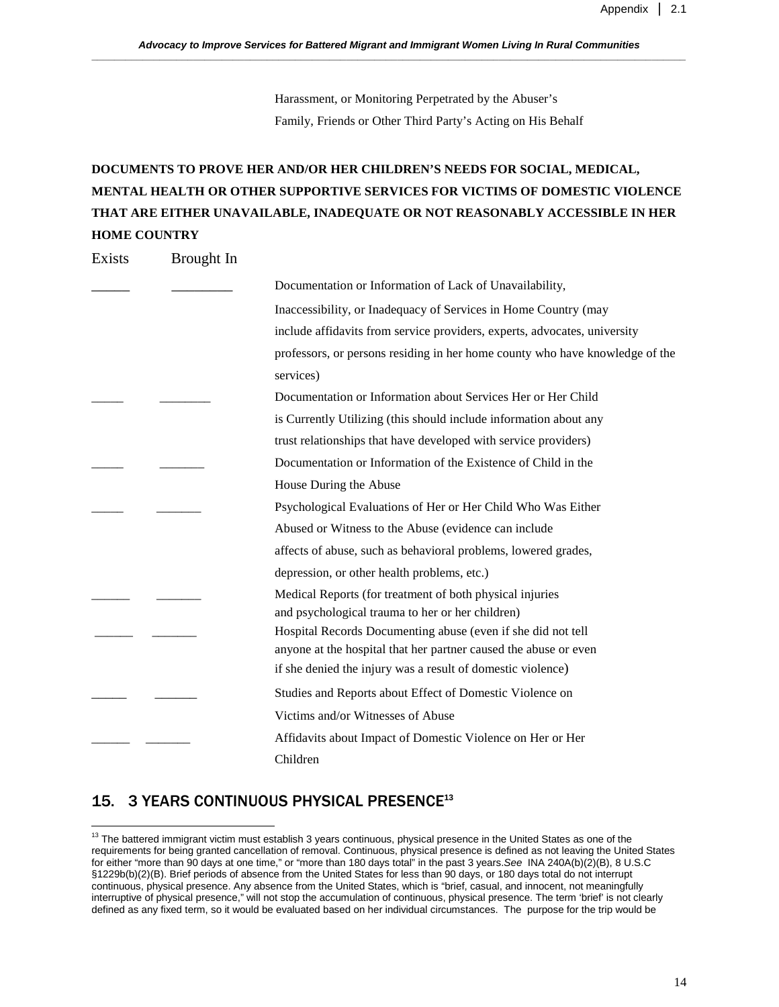Harassment, or Monitoring Perpetrated by the Abuser's Family, Friends or Other Third Party's Acting on His Behalf

# **DOCUMENTS TO PROVE HER AND/OR HER CHILDREN'S NEEDS FOR SOCIAL, MEDICAL, MENTAL HEALTH OR OTHER SUPPORTIVE SERVICES FOR VICTIMS OF DOMESTIC VIOLENCE THAT ARE EITHER UNAVAILABLE, INADEQUATE OR NOT REASONABLY ACCESSIBLE IN HER HOME COUNTRY**

Exists Brought In

| Documentation or Information of Lack of Unavailability,                                                                          |
|----------------------------------------------------------------------------------------------------------------------------------|
| Inaccessibility, or Inadequacy of Services in Home Country (may                                                                  |
| include affidavits from service providers, experts, advocates, university                                                        |
| professors, or persons residing in her home county who have knowledge of the                                                     |
| services)                                                                                                                        |
| Documentation or Information about Services Her or Her Child                                                                     |
| is Currently Utilizing (this should include information about any                                                                |
| trust relationships that have developed with service providers)                                                                  |
| Documentation or Information of the Existence of Child in the                                                                    |
| House During the Abuse                                                                                                           |
| Psychological Evaluations of Her or Her Child Who Was Either                                                                     |
| Abused or Witness to the Abuse (evidence can include                                                                             |
| affects of abuse, such as behavioral problems, lowered grades,                                                                   |
| depression, or other health problems, etc.)                                                                                      |
| Medical Reports (for treatment of both physical injuries                                                                         |
| and psychological trauma to her or her children)                                                                                 |
| Hospital Records Documenting abuse (even if she did not tell<br>anyone at the hospital that her partner caused the abuse or even |
| if she denied the injury was a result of domestic violence)                                                                      |
| Studies and Reports about Effect of Domestic Violence on                                                                         |
| Victims and/or Witnesses of Abuse                                                                                                |
|                                                                                                                                  |
| Affidavits about Impact of Domestic Violence on Her or Her                                                                       |
| Children                                                                                                                         |

### 15. 3 YEARS CONTINUOUS PHYSICAL PRESENCE**<sup>13</sup>**

<u>.</u>

 $13$  The battered immigrant victim must establish 3 years continuous, physical presence in the United States as one of the requirements for being granted cancellation of removal. Continuous, physical presence is defined as not leaving the United States for either "more than 90 days at one time," or "more than 180 days total" in the past 3 years.See INA 240A(b)(2)(B), 8 U.S.C §1229b(b)(2)(B). Brief periods of absence from the United States for less than 90 days, or 180 days total do not interrupt continuous, physical presence. Any absence from the United States, which is "brief, casual, and innocent, not meaningfully interruptive of physical presence," will not stop the accumulation of continuous, physical presence. The term 'brief' is not clearly defined as any fixed term, so it would be evaluated based on her individual circumstances. The purpose for the trip would be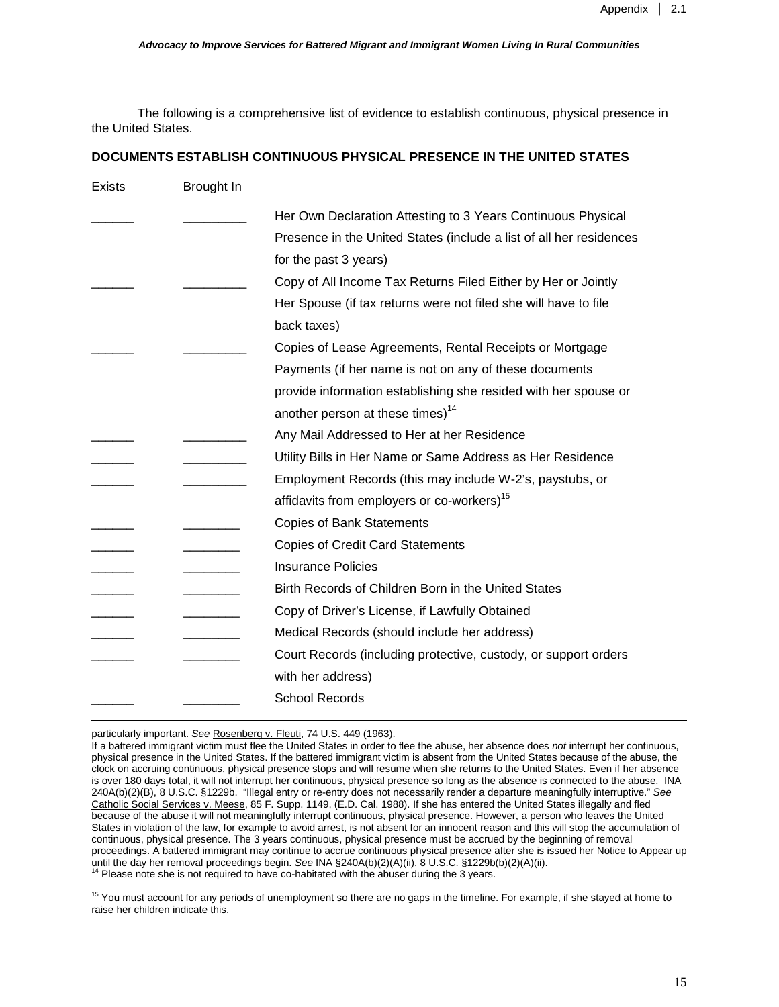The following is a comprehensive list of evidence to establish continuous, physical presence in the United States.

#### **DOCUMENTS ESTABLISH CONTINUOUS PHYSICAL PRESENCE IN THE UNITED STATES**

| <b>Exists</b> | Brought In               |                                                                     |
|---------------|--------------------------|---------------------------------------------------------------------|
|               |                          | Her Own Declaration Attesting to 3 Years Continuous Physical        |
|               |                          | Presence in the United States (include a list of all her residences |
|               |                          | for the past 3 years)                                               |
|               |                          | Copy of All Income Tax Returns Filed Either by Her or Jointly       |
|               |                          | Her Spouse (if tax returns were not filed she will have to file     |
|               |                          | back taxes)                                                         |
|               |                          | Copies of Lease Agreements, Rental Receipts or Mortgage             |
|               |                          | Payments (if her name is not on any of these documents              |
|               |                          | provide information establishing she resided with her spouse or     |
|               |                          | another person at these times) <sup>14</sup>                        |
|               |                          | Any Mail Addressed to Her at her Residence                          |
|               |                          | Utility Bills in Her Name or Same Address as Her Residence          |
|               | <b>Contract Contract</b> | Employment Records (this may include W-2's, paystubs, or            |
|               |                          | affidavits from employers or co-workers) <sup>15</sup>              |
|               |                          | <b>Copies of Bank Statements</b>                                    |
|               |                          | <b>Copies of Credit Card Statements</b>                             |
|               |                          | <b>Insurance Policies</b>                                           |
|               |                          | Birth Records of Children Born in the United States                 |
|               |                          | Copy of Driver's License, if Lawfully Obtained                      |
|               |                          | Medical Records (should include her address)                        |
|               |                          | Court Records (including protective, custody, or support orders     |
|               |                          | with her address)                                                   |
|               |                          | <b>School Records</b>                                               |
|               |                          |                                                                     |

particularly important. See Rosenberg v. Fleuti, 74 U.S. 449 (1963).

<sup>15</sup> You must account for any periods of unemployment so there are no gaps in the timeline. For example, if she stayed at home to raise her children indicate this.

If a battered immigrant victim must flee the United States in order to flee the abuse, her absence does not interrupt her continuous, physical presence in the United States. If the battered immigrant victim is absent from the United States because of the abuse, the clock on accruing continuous, physical presence stops and will resume when she returns to the United States. Even if her absence is over 180 days total, it will not interrupt her continuous, physical presence so long as the absence is connected to the abuse. INA 240A(b)(2)(B), 8 U.S.C. §1229b. "Illegal entry or re-entry does not necessarily render a departure meaningfully interruptive." See Catholic Social Services v. Meese, 85 F. Supp. 1149, (E.D. Cal. 1988). If she has entered the United States illegally and fled because of the abuse it will not meaningfully interrupt continuous, physical presence. However, a person who leaves the United States in violation of the law, for example to avoid arrest, is not absent for an innocent reason and this will stop the accumulation of continuous, physical presence. The 3 years continuous, physical presence must be accrued by the beginning of removal proceedings. A battered immigrant may continue to accrue continuous physical presence after she is issued her Notice to Appear up until the day her removal proceedings begin. See INA §240A(b)(2)(A)(ii), 8 U.S.C. §1229b(b)(2)(A)(ii).<br><sup>14</sup> Please note she is not required to have co-habitated with the abuser during the 3 years.